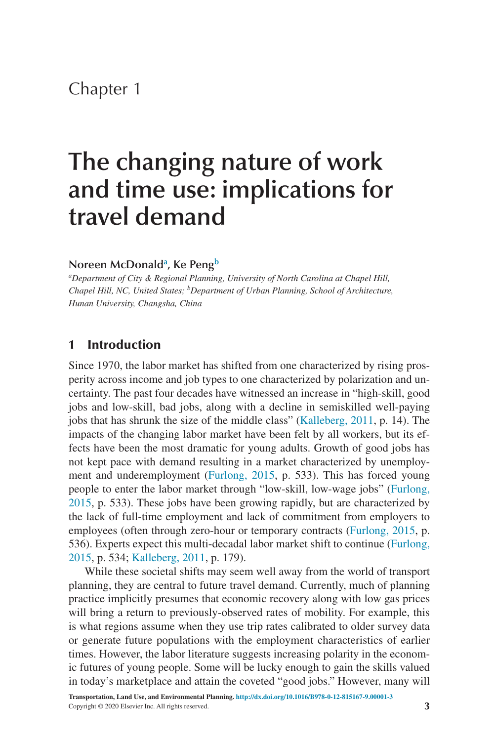## Chapter 1

# **The changing nature of work and time use: implications for travel demand**

#### **Noreen McDonalda , Ke Pengb**

*a Department of City & Regional Planning, University of North Carolina at Chapel Hill, Chapel Hill, NC, United States; b Department of Urban Planning, School of Architecture, Hunan University, Changsha, China*

#### 1 Introduction

Since 1970, the labor market has shifted from one characterized by rising prosperity across income and job types to one characterized by polarization and uncertainty. The past four decades have witnessed an increase in "high-skill, good jobs and low-skill, bad jobs, along with a decline in semiskilled well-paying jobs that has shrunk the size of the middle class" (Kalleberg, 2011, p. 14). The impacts of the changing labor market have been felt by all workers, but its effects have been the most dramatic for young adults. Growth of good jobs has not kept pace with demand resulting in a market characterized by unemployment and underemployment (Furlong, 2015, p. 533). This has forced young people to enter the labor market through "low-skill, low-wage jobs" (Furlong, 2015, p. 533). These jobs have been growing rapidly, but are characterized by the lack of full-time employment and lack of commitment from employers to employees (often through zero-hour or temporary contracts (Furlong, 2015, p. 536). Experts expect this multi-decadal labor market shift to continue (Furlong, 2015, p. 534; Kalleberg, 2011, p. 179).

While these societal shifts may seem well away from the world of transport planning, they are central to future travel demand. Currently, much of planning practice implicitly presumes that economic recovery along with low gas prices will bring a return to previously-observed rates of mobility. For example, this is what regions assume when they use trip rates calibrated to older survey data or generate future populations with the employment characteristics of earlier times. However, the labor literature suggests increasing polarity in the economic futures of young people. Some will be lucky enough to gain the skills valued in today's marketplace and attain the coveted "good jobs." However, many will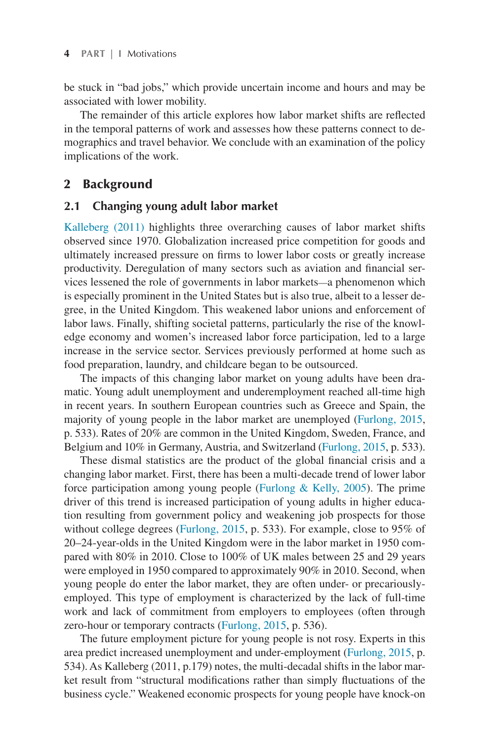be stuck in "bad jobs," which provide uncertain income and hours and may be associated with lower mobility.

The remainder of this article explores how labor market shifts are reflected in the temporal patterns of work and assesses how these patterns connect to demographics and travel behavior. We conclude with an examination of the policy implications of the work.

## 2 Background

## **2.1 Changing young adult labor market**

Kalleberg (2011) highlights three overarching causes of labor market shifts observed since 1970. Globalization increased price competition for goods and ultimately increased pressure on firms to lower labor costs or greatly increase productivity. Deregulation of many sectors such as aviation and financial services lessened the role of governments in labor markets—a phenomenon which is especially prominent in the United States but is also true, albeit to a lesser degree, in the United Kingdom. This weakened labor unions and enforcement of labor laws. Finally, shifting societal patterns, particularly the rise of the knowledge economy and women's increased labor force participation, led to a large increase in the service sector. Services previously performed at home such as food preparation, laundry, and childcare began to be outsourced.

The impacts of this changing labor market on young adults have been dramatic. Young adult unemployment and underemployment reached all-time high in recent years. In southern European countries such as Greece and Spain, the majority of young people in the labor market are unemployed (Furlong, 2015, p. 533). Rates of 20% are common in the United Kingdom, Sweden, France, and Belgium and 10% in Germany, Austria, and Switzerland (Furlong, 2015, p. 533).

These dismal statistics are the product of the global financial crisis and a changing labor market. First, there has been a multi-decade trend of lower labor force participation among young people (Furlong  $\&$  Kelly, 2005). The prime driver of this trend is increased participation of young adults in higher education resulting from government policy and weakening job prospects for those without college degrees (Furlong, 2015, p. 533). For example, close to 95% of 20–24-year-olds in the United Kingdom were in the labor market in 1950 compared with 80% in 2010. Close to 100% of UK males between 25 and 29 years were employed in 1950 compared to approximately 90% in 2010. Second, when young people do enter the labor market, they are often under- or precariouslyemployed. This type of employment is characterized by the lack of full-time work and lack of commitment from employers to employees (often through zero-hour or temporary contracts (Furlong, 2015, p. 536).

The future employment picture for young people is not rosy. Experts in this area predict increased unemployment and under-employment (Furlong, 2015, p. 534). As Kalleberg (2011, p.179) notes, the multi-decadal shifts in the labor market result from "structural modifications rather than simply fluctuations of the business cycle." Weakened economic prospects for young people have knock-on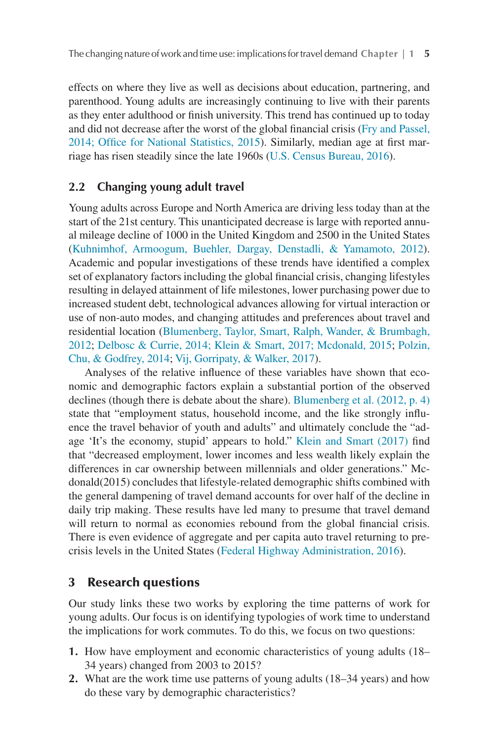effects on where they live as well as decisions about education, partnering, and parenthood. Young adults are increasingly continuing to live with their parents as they enter adulthood or finish university. This trend has continued up to today and did not decrease after the worst of the global financial crisis (Fry and Passel, 2014; Office for National Statistics, 2015). Similarly, median age at first marriage has risen steadily since the late 1960s (U.S. Census Bureau, 2016).

## **2.2 Changing young adult travel**

Young adults across Europe and North America are driving less today than at the start of the 21st century. This unanticipated decrease is large with reported annual mileage decline of 1000 in the United Kingdom and 2500 in the United States (Kuhnimhof, Armoogum, Buehler, Dargay, Denstadli, & Yamamoto, 2012). Academic and popular investigations of these trends have identified a complex set of explanatory factors including the global financial crisis, changing lifestyles resulting in delayed attainment of life milestones, lower purchasing power due to increased student debt, technological advances allowing for virtual interaction or use of non-auto modes, and changing attitudes and preferences about travel and residential location (Blumenberg, Taylor, Smart, Ralph, Wander, & Brumbagh, 2012; Delbosc & Currie, 2014; Klein & Smart, 2017; Mcdonald, 2015; Polzin, Chu, & Godfrey, 2014; Vij, Gorripaty, & Walker, 2017).

Analyses of the relative influence of these variables have shown that economic and demographic factors explain a substantial portion of the observed declines (though there is debate about the share). Blumenberg et al. (2012, p. 4) state that "employment status, household income, and the like strongly influence the travel behavior of youth and adults" and ultimately conclude the "adage 'It's the economy, stupid' appears to hold." Klein and Smart (2017) find that "decreased employment, lower incomes and less wealth likely explain the differences in car ownership between millennials and older generations." Mcdonald(2015) concludes that lifestyle-related demographic shifts combined with the general dampening of travel demand accounts for over half of the decline in daily trip making. These results have led many to presume that travel demand will return to normal as economies rebound from the global financial crisis. There is even evidence of aggregate and per capita auto travel returning to precrisis levels in the United States (Federal Highway Administration, 2016).

## 3 Research questions

Our study links these two works by exploring the time patterns of work for young adults. Our focus is on identifying typologies of work time to understand the implications for work commutes. To do this, we focus on two questions:

- **1.** How have employment and economic characteristics of young adults (18– 34 years) changed from 2003 to 2015?
- **2.** What are the work time use patterns of young adults (18–34 years) and how do these vary by demographic characteristics?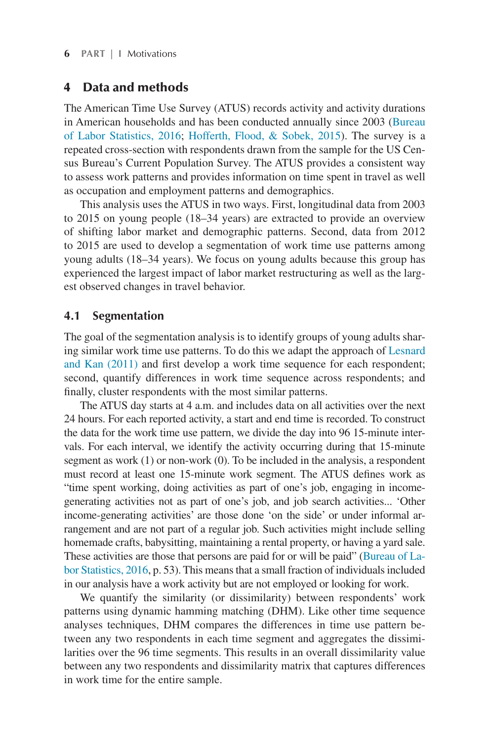#### 4 Data and methods

The American Time Use Survey (ATUS) records activity and activity durations in American households and has been conducted annually since 2003 (Bureau of Labor Statistics, 2016; Hofferth, Flood, & Sobek, 2015). The survey is a repeated cross-section with respondents drawn from the sample for the US Census Bureau's Current Population Survey. The ATUS provides a consistent way to assess work patterns and provides information on time spent in travel as well as occupation and employment patterns and demographics.

This analysis uses the ATUS in two ways. First, longitudinal data from 2003 to 2015 on young people (18–34 years) are extracted to provide an overview of shifting labor market and demographic patterns. Second, data from 2012 to 2015 are used to develop a segmentation of work time use patterns among young adults (18–34 years). We focus on young adults because this group has experienced the largest impact of labor market restructuring as well as the largest observed changes in travel behavior.

#### **4.1 Segmentation**

The goal of the segmentation analysis is to identify groups of young adults sharing similar work time use patterns. To do this we adapt the approach of Lesnard and Kan (2011) and first develop a work time sequence for each respondent; second, quantify differences in work time sequence across respondents; and finally, cluster respondents with the most similar patterns.

The ATUS day starts at 4 a.m. and includes data on all activities over the next 24 hours. For each reported activity, a start and end time is recorded. To construct the data for the work time use pattern, we divide the day into 96 15-minute intervals. For each interval, we identify the activity occurring during that 15-minute segment as work (1) or non-work (0). To be included in the analysis, a respondent must record at least one 15-minute work segment. The ATUS defines work as "time spent working, doing activities as part of one's job, engaging in incomegenerating activities not as part of one's job, and job search activities... 'Other income-generating activities' are those done 'on the side' or under informal arrangement and are not part of a regular job. Such activities might include selling homemade crafts, babysitting, maintaining a rental property, or having a yard sale. These activities are those that persons are paid for or will be paid" (Bureau of Labor Statistics, 2016, p. 53). This means that a small fraction of individuals included in our analysis have a work activity but are not employed or looking for work.

We quantify the similarity (or dissimilarity) between respondents' work patterns using dynamic hamming matching (DHM). Like other time sequence analyses techniques, DHM compares the differences in time use pattern between any two respondents in each time segment and aggregates the dissimilarities over the 96 time segments. This results in an overall dissimilarity value between any two respondents and dissimilarity matrix that captures differences in work time for the entire sample.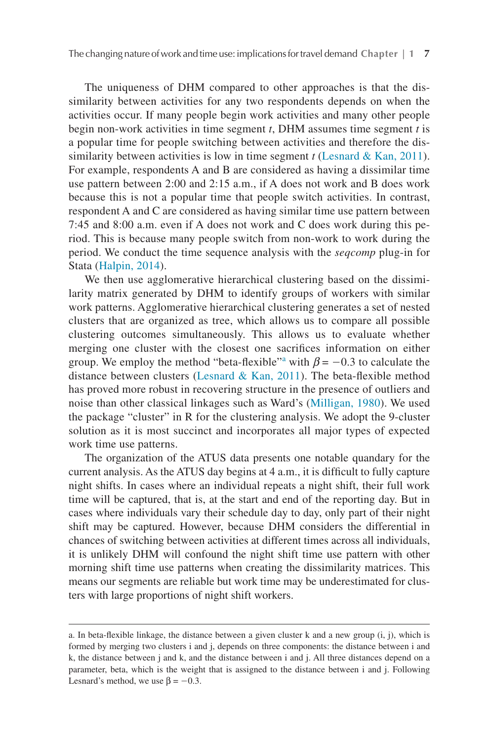The uniqueness of DHM compared to other approaches is that the dissimilarity between activities for any two respondents depends on when the activities occur. If many people begin work activities and many other people begin non-work activities in time segment *t*, DHM assumes time segment *t* is a popular time for people switching between activities and therefore the dissimilarity between activities is low in time segment *t* (Lesnard & Kan, 2011). For example, respondents A and B are considered as having a dissimilar time use pattern between 2:00 and 2:15 a.m., if A does not work and B does work because this is not a popular time that people switch activities. In contrast, respondent A and C are considered as having similar time use pattern between 7:45 and 8:00 a.m. even if A does not work and C does work during this period. This is because many people switch from non-work to work during the period. We conduct the time sequence analysis with the *seqcomp* plug-in for Stata (Halpin, 2014).

We then use agglomerative hierarchical clustering based on the dissimilarity matrix generated by DHM to identify groups of workers with similar work patterns. Agglomerative hierarchical clustering generates a set of nested clusters that are organized as tree, which allows us to compare all possible clustering outcomes simultaneously. This allows us to evaluate whether merging one cluster with the closest one sacrifices information on either group. We employ the method "beta-flexible"<sup>a</sup> with  $\beta$  =  $-0.3$  to calculate the distance between clusters (Lesnard & Kan, 2011). The beta-flexible method has proved more robust in recovering structure in the presence of outliers and noise than other classical linkages such as Ward's (Milligan, 1980). We used the package "cluster" in R for the clustering analysis. We adopt the 9-cluster solution as it is most succinct and incorporates all major types of expected work time use patterns.

The organization of the ATUS data presents one notable quandary for the current analysis. As the ATUS day begins at 4 a.m., it is difficult to fully capture night shifts. In cases where an individual repeats a night shift, their full work time will be captured, that is, at the start and end of the reporting day. But in cases where individuals vary their schedule day to day, only part of their night shift may be captured. However, because DHM considers the differential in chances of switching between activities at different times across all individuals, it is unlikely DHM will confound the night shift time use pattern with other morning shift time use patterns when creating the dissimilarity matrices. This means our segments are reliable but work time may be underestimated for clusters with large proportions of night shift workers.

a. In beta-flexible linkage, the distance between a given cluster k and a new group (i, j), which is formed by merging two clusters i and j, depends on three components: the distance between i and k, the distance between j and k, and the distance between i and j. All three distances depend on a parameter, beta, which is the weight that is assigned to the distance between i and j. Following Lesnard's method, we use  $\beta = -0.3$ .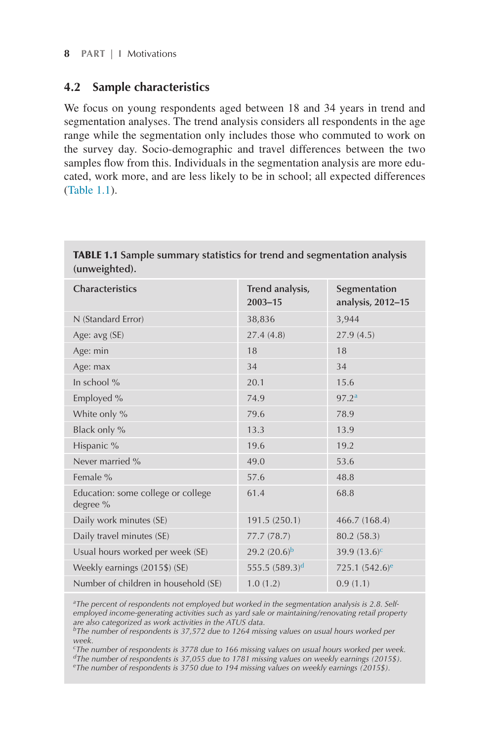## **4.2 Sample characteristics**

We focus on young respondents aged between 18 and 34 years in trend and segmentation analyses. The trend analysis considers all respondents in the age range while the segmentation only includes those who commuted to work on the survey day. Socio-demographic and travel differences between the two samples flow from this. Individuals in the segmentation analysis are more educated, work more, and are less likely to be in school; all expected differences (Table 1.1).

| Characteristics                                | Trend analysis,<br>$2003 - 15$ | Segmentation<br>analysis, 2012-15 |
|------------------------------------------------|--------------------------------|-----------------------------------|
| N (Standard Error)                             | 38,836                         | 3,944                             |
| Age: avg (SE)                                  | 27.4(4.8)                      | 27.9(4.5)                         |
| Age: min                                       | 18                             | 18                                |
| Age: max                                       | 34                             | 34                                |
| In school $%$                                  | 20.1                           | 15.6                              |
| Employed %                                     | 74.9                           | 97.2 <sup>a</sup>                 |
| White only %                                   | 79.6                           | 78.9                              |
| Black only %                                   | 13.3                           | 13.9                              |
| Hispanic %                                     | 19.6                           | 19.2                              |
| Never married %                                | 49.0                           | 53.6                              |
| Female %                                       | 57.6                           | 48.8                              |
| Education: some college or college<br>degree % | 61.4                           | 68.8                              |
| Daily work minutes (SE)                        | 191.5 (250.1)                  | 466.7 (168.4)                     |
| Daily travel minutes (SE)                      | 77.7 (78.7)                    | 80.2 (58.3)                       |
| Usual hours worked per week (SE)               | 29.2 $(20.6)^b$                | 39.9 $(13.6)^c$                   |
| Weekly earnings (2015\$) (SE)                  | 555.5 $(589.3)^d$              | 725.1 $(542.6)^e$                 |
| Number of children in household (SE)           | 1.0(1.2)                       | 0.9(1.1)                          |
|                                                |                                |                                   |

TABLE 1.1 **Sample summary statistics for trend and segmentation analysis (unweighted).**

*a The percent of respondents not employed but worked in the segmentation analysis is 2.8. Selfemployed income-generating activities such as yard sale or maintaining/renovating retail property are also categorized as work activities in the ATUS data.*

*bThe number of respondents is 37,572 due to 1264 missing values on usual hours worked per week.*

*c The number of respondents is 3778 due to 166 missing values on usual hours worked per week. dThe number of respondents is 37,055 due to 1781 missing values on weekly earnings (2015\$).*

*e The number of respondents is 3750 due to 194 missing values on weekly earnings (2015\$).*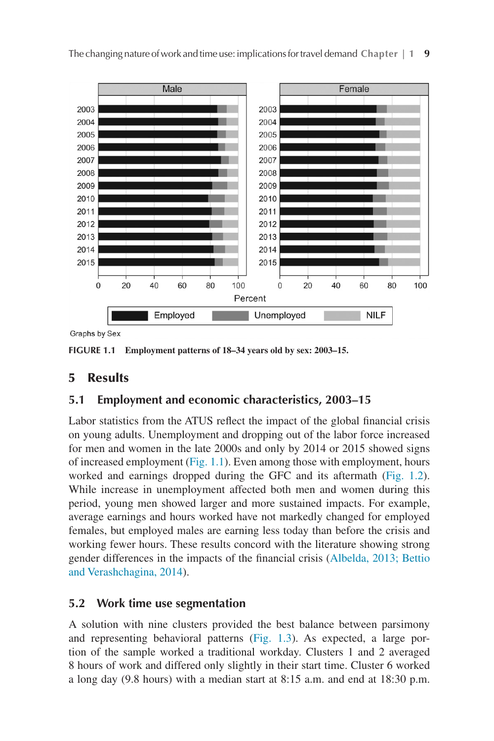

The changing nature of work and time use: implications for travel demand **Chapter | 1 9**

Graphs by Sex

**FIGURE 1.1 Employment patterns of 18–34 years old by sex: 2003–15.**

## 5 Results

## **5.1 Employment and economic characteristics, 2003–15**

Labor statistics from the ATUS reflect the impact of the global financial crisis on young adults. Unemployment and dropping out of the labor force increased for men and women in the late 2000s and only by 2014 or 2015 showed signs of increased employment (Fig. 1.1). Even among those with employment, hours worked and earnings dropped during the GFC and its aftermath (Fig. 1.2). While increase in unemployment affected both men and women during this period, young men showed larger and more sustained impacts. For example, average earnings and hours worked have not markedly changed for employed females, but employed males are earning less today than before the crisis and working fewer hours. These results concord with the literature showing strong gender differences in the impacts of the financial crisis (Albelda, 2013; Bettio and Verashchagina, 2014).

## **5.2 Work time use segmentation**

A solution with nine clusters provided the best balance between parsimony and representing behavioral patterns (Fig. 1.3). As expected, a large portion of the sample worked a traditional workday. Clusters 1 and 2 averaged 8 hours of work and differed only slightly in their start time. Cluster 6 worked a long day (9.8 hours) with a median start at 8:15 a.m. and end at 18:30 p.m.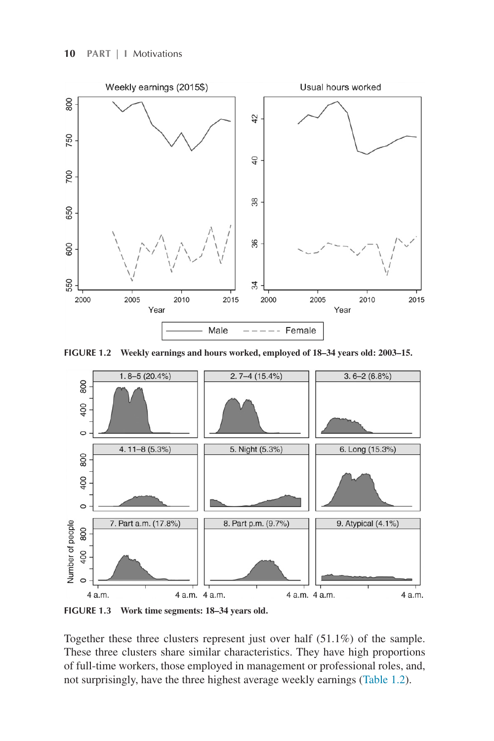

**FIGURE 1.2 Weekly earnings and hours worked, employed of 18–34 years old: 2003–15.**



**FIGURE 1.3 Work time segments: 18–34 years old.**

Together these three clusters represent just over half (51.1%) of the sample. These three clusters share similar characteristics. They have high proportions of full-time workers, those employed in management or professional roles, and, not surprisingly, have the three highest average weekly earnings (Table 1.2).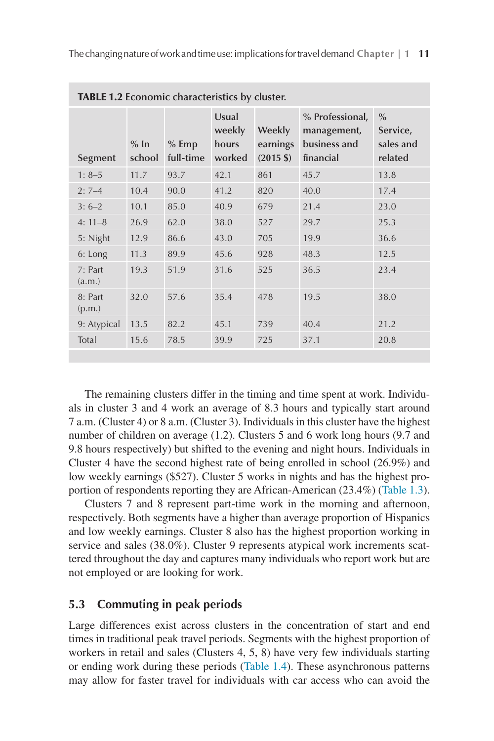| <b>TABLE 1.2 Economic characteristics by cluster.</b> |                  |                      |                                    |                                                              |                                                             |                                          |  |  |
|-------------------------------------------------------|------------------|----------------------|------------------------------------|--------------------------------------------------------------|-------------------------------------------------------------|------------------------------------------|--|--|
| Segment                                               | $%$ In<br>school | $%$ Emp<br>full-time | Usual<br>weekly<br>hours<br>worked | <b>Weekly</b><br>earnings<br>$(2015 \text{ } \frac{\pi}{3})$ | % Professional,<br>management,<br>business and<br>financial | $\%$<br>Service,<br>sales and<br>related |  |  |
| $1:8-5$                                               | 11.7             | 93.7                 | 42.1                               | 861                                                          | 45.7                                                        | 13.8                                     |  |  |
| $2:7-4$                                               | 10.4             | 90.0                 | 41.2                               | 820                                                          | 40.0                                                        | 17.4                                     |  |  |
| $3:6-2$                                               | 10.1             | 85.0                 | 40.9                               | 679                                                          | 21.4                                                        | 23.0                                     |  |  |
| $4:11-8$                                              | 26.9             | 62.0                 | 38.0                               | 527                                                          | 29.7                                                        | 25.3                                     |  |  |
| 5: Night                                              | 12.9             | 86.6                 | 43.0                               | 705                                                          | 19.9                                                        | 36.6                                     |  |  |
| 6: Long                                               | 11.3             | 89.9                 | 45.6                               | 928                                                          | 48.3                                                        | 12.5                                     |  |  |
| 7: Part<br>(a.m.)                                     | 19.3             | 51.9                 | 31.6                               | 525                                                          | 36.5                                                        | 23.4                                     |  |  |
| 8: Part<br>(p.m.)                                     | 32.0             | 57.6                 | 35.4                               | 478                                                          | 19.5                                                        | 38.0                                     |  |  |
| 9: Atypical                                           | 13.5             | 82.2                 | 45.1                               | 739                                                          | 40.4                                                        | 21.2                                     |  |  |
| Total                                                 | 15.6             | 78.5                 | 39.9                               | 725                                                          | 37.1                                                        | 20.8                                     |  |  |

The remaining clusters differ in the timing and time spent at work. Individuals in cluster 3 and 4 work an average of 8.3 hours and typically start around 7 a.m. (Cluster 4) or 8 a.m. (Cluster 3). Individuals in this cluster have the highest number of children on average (1.2). Clusters 5 and 6 work long hours (9.7 and 9.8 hours respectively) but shifted to the evening and night hours. Individuals in Cluster 4 have the second highest rate of being enrolled in school (26.9%) and low weekly earnings (\$527). Cluster 5 works in nights and has the highest proportion of respondents reporting they are African-American (23.4%) (Table 1.3).

Clusters 7 and 8 represent part-time work in the morning and afternoon, respectively. Both segments have a higher than average proportion of Hispanics and low weekly earnings. Cluster 8 also has the highest proportion working in service and sales (38.0%). Cluster 9 represents atypical work increments scattered throughout the day and captures many individuals who report work but are not employed or are looking for work.

## **5.3 Commuting in peak periods**

Large differences exist across clusters in the concentration of start and end times in traditional peak travel periods. Segments with the highest proportion of workers in retail and sales (Clusters 4, 5, 8) have very few individuals starting or ending work during these periods (Table 1.4). These asynchronous patterns may allow for faster travel for individuals with car access who can avoid the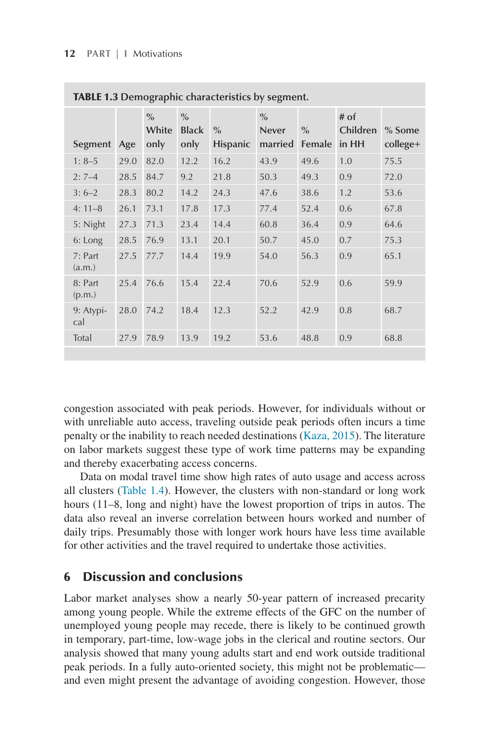| <b>IABLE 1.3 Demographic characteristics by segment.</b> |      |                                |                              |                                  |                                 |                |                           |                      |  |
|----------------------------------------------------------|------|--------------------------------|------------------------------|----------------------------------|---------------------------------|----------------|---------------------------|----------------------|--|
| Segment                                                  | Age  | $\frac{0}{0}$<br>White<br>only | $\%$<br><b>Black</b><br>only | $\frac{0}{0}$<br><b>Hispanic</b> | $\%$<br><b>Never</b><br>married | $\%$<br>Female | # of<br>Children<br>in HH | % Some<br>$college+$ |  |
| $1:8-5$                                                  | 29.0 | 82.0                           | 12.2                         | 16.2                             | 43.9                            | 49.6           | 1.0                       | 75.5                 |  |
| $2:7-4$                                                  | 28.5 | 84.7                           | 9.2                          | 21.8                             | 50.3                            | 49.3           | 0.9                       | 72.0                 |  |
| $3:6-2$                                                  | 28.3 | 80.2                           | 14.2                         | 24.3                             | 47.6                            | 38.6           | 1.2                       | 53.6                 |  |
| $4:11-8$                                                 | 26.1 | 73.1                           | 17.8                         | 17.3                             | 77.4                            | 52.4           | 0.6                       | 67.8                 |  |
| 5: Night                                                 | 27.3 | 71.3                           | 23.4                         | 14.4                             | 60.8                            | 36.4           | 0.9                       | 64.6                 |  |
| 6: Long                                                  | 28.5 | 76.9                           | 13.1                         | 20.1                             | 50.7                            | 45.0           | 0.7                       | 75.3                 |  |
| 7: Part<br>(a.m.)                                        | 27.5 | 77.7                           | 14.4                         | 19.9                             | 54.0                            | 56.3           | 0.9                       | 65.1                 |  |
| 8: Part<br>(p.m.)                                        | 25.4 | 76.6                           | 15.4                         | 22.4                             | 70.6                            | 52.9           | 0.6                       | 59.9                 |  |
| 9: Atypi-<br>cal                                         | 28.0 | 74.2                           | 18.4                         | 12.3                             | 52.2                            | 42.9           | 0.8                       | 68.7                 |  |
| Total                                                    | 27.9 | 78.9                           | 13.9                         | 19.2                             | 53.6                            | 48.8           | 0.9                       | 68.8                 |  |
|                                                          |      |                                |                              |                                  |                                 |                |                           |                      |  |

|  |  | TABLE 1.3 Demographic characteristics by segment. |  |  |
|--|--|---------------------------------------------------|--|--|
|--|--|---------------------------------------------------|--|--|

congestion associated with peak periods. However, for individuals without or with unreliable auto access, traveling outside peak periods often incurs a time penalty or the inability to reach needed destinations (Kaza, 2015). The literature on labor markets suggest these type of work time patterns may be expanding and thereby exacerbating access concerns.

Data on modal travel time show high rates of auto usage and access across all clusters (Table 1.4). However, the clusters with non-standard or long work hours (11–8, long and night) have the lowest proportion of trips in autos. The data also reveal an inverse correlation between hours worked and number of daily trips. Presumably those with longer work hours have less time available for other activities and the travel required to undertake those activities.

#### 6 Discussion and conclusions

Labor market analyses show a nearly 50-year pattern of increased precarity among young people. While the extreme effects of the GFC on the number of unemployed young people may recede, there is likely to be continued growth in temporary, part-time, low-wage jobs in the clerical and routine sectors. Our analysis showed that many young adults start and end work outside traditional peak periods. In a fully auto-oriented society, this might not be problematic and even might present the advantage of avoiding congestion. However, those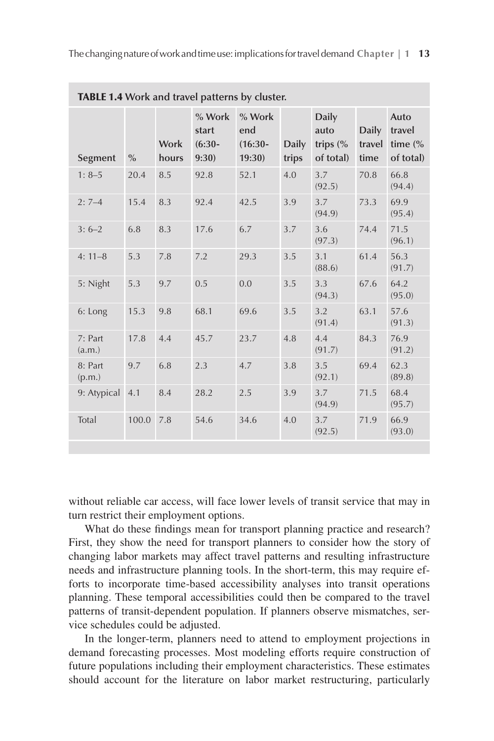| TABLE 1.4 Work and travel patterns by cluster. |               |               |                                       |                                      |                |                                                   |                                |                                                   |
|------------------------------------------------|---------------|---------------|---------------------------------------|--------------------------------------|----------------|---------------------------------------------------|--------------------------------|---------------------------------------------------|
| Segment                                        | $\frac{0}{0}$ | Work<br>hours | % Work<br>start<br>$(6:30 -$<br>9:30) | % Work<br>end<br>$(16:30 -$<br>19:30 | Daily<br>trips | Daily<br>auto<br>trips $\frac{6}{6}$<br>of total) | <b>Daily</b><br>travel<br>time | Auto<br>travel<br>time $\frac{6}{6}$<br>of total) |
| $1:8-5$                                        | 20.4          | 8.5           | 92.8                                  | 52.1                                 | 4.0            | 3.7<br>(92.5)                                     | 70.8                           | 66.8<br>(94.4)                                    |
| $2:7-4$                                        | 15.4          | 8.3           | 92.4                                  | 42.5                                 | 3.9            | 3.7<br>(94.9)                                     | 73.3                           | 69.9<br>(95.4)                                    |
| $3:6-2$                                        | 6.8           | 8.3           | 17.6                                  | 6.7                                  | 3.7            | 3.6<br>(97.3)                                     | 74.4                           | 71.5<br>(96.1)                                    |
| $4:11-8$                                       | 5.3           | 7.8           | 7.2                                   | 29.3                                 | 3.5            | 3.1<br>(88.6)                                     | 61.4                           | 56.3<br>(91.7)                                    |
| 5: Night                                       | 5.3           | 9.7           | 0.5                                   | 0.0                                  | 3.5            | 3.3<br>(94.3)                                     | 67.6                           | 64.2<br>(95.0)                                    |
| 6: Long                                        | 15.3          | 9.8           | 68.1                                  | 69.6                                 | 3.5            | 3.2<br>(91.4)                                     | 63.1                           | 57.6<br>(91.3)                                    |
| 7: Part<br>(a.m.)                              | 17.8          | 4.4           | 45.7                                  | 23.7                                 | 4.8            | 4.4<br>(91.7)                                     | 84.3                           | 76.9<br>(91.2)                                    |
| 8: Part<br>(p.m.)                              | 9.7           | 6.8           | 2.3                                   | 4.7                                  | 3.8            | 3.5<br>(92.1)                                     | 69.4                           | 62.3<br>(89.8)                                    |
| 9: Atypical                                    | 4.1           | 8.4           | 28.2                                  | 2.5                                  | 3.9            | 3.7<br>(94.9)                                     | 71.5                           | 68.4<br>(95.7)                                    |
| Total                                          | 100.0         | 7.8           | 54.6                                  | 34.6                                 | 4.0            | 3.7<br>(92.5)                                     | 71.9                           | 66.9<br>(93.0)                                    |

without reliable car access, will face lower levels of transit service that may in turn restrict their employment options.

What do these findings mean for transport planning practice and research? First, they show the need for transport planners to consider how the story of changing labor markets may affect travel patterns and resulting infrastructure needs and infrastructure planning tools. In the short-term, this may require efforts to incorporate time-based accessibility analyses into transit operations planning. These temporal accessibilities could then be compared to the travel patterns of transit-dependent population. If planners observe mismatches, service schedules could be adjusted.

In the longer-term, planners need to attend to employment projections in demand forecasting processes. Most modeling efforts require construction of future populations including their employment characteristics. These estimates should account for the literature on labor market restructuring, particularly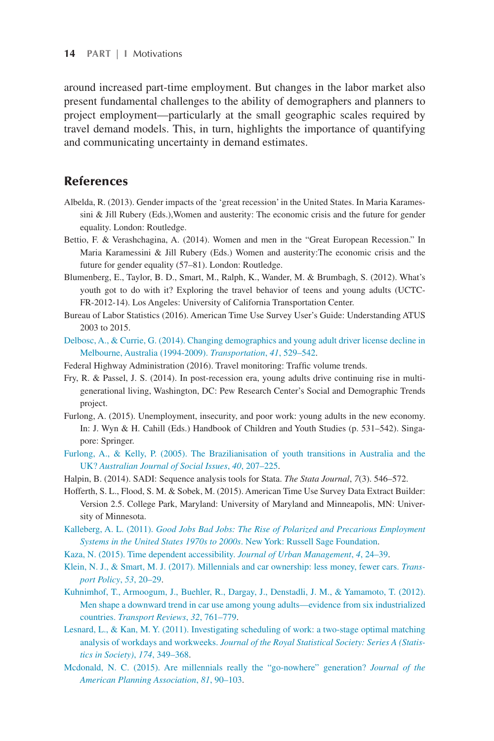around increased part-time employment. But changes in the labor market also present fundamental challenges to the ability of demographers and planners to project employment—particularly at the small geographic scales required by travel demand models. This, in turn, highlights the importance of quantifying and communicating uncertainty in demand estimates.

#### References

- Albelda, R. (2013). Gender impacts of the 'great recession' in the United States. In Maria Karamessini & Jill Rubery (Eds.),Women and austerity: The economic crisis and the future for gender equality. London: Routledge.
- Bettio, F. & Verashchagina, A. (2014). Women and men in the "Great European Recession." In Maria Karamessini & Jill Rubery (Eds.) Women and austerity:The economic crisis and the future for gender equality (57–81). London: Routledge.
- Blumenberg, E., Taylor, B. D., Smart, M., Ralph, K., Wander, M. & Brumbagh, S. (2012). What's youth got to do with it? Exploring the travel behavior of teens and young adults (UCTC-FR-2012-14). Los Angeles: University of California Transportation Center.
- Bureau of Labor Statistics (2016). American Time Use Survey User's Guide: Understanding ATUS 2003 to 2015.
- [Delbosc, A., & Currie, G. \(2014\). Changing demographics and young adult driver license decline in](http://refhub.elsevier.com/B978-0-12-815167-9.00001-3/ref0010)  [Melbourne, Australia \(1994-2009\).](http://refhub.elsevier.com/B978-0-12-815167-9.00001-3/ref0010) *Transportation*, *41*, 529–542.
- Federal Highway Administration (2016). Travel monitoring: Traffic volume trends.
- Fry, R. & Passel, J. S. (2014). In post-recession era, young adults drive continuing rise in multigenerational living, Washington, DC: Pew Research Center's Social and Demographic Trends project.
- Furlong, A. (2015). Unemployment, insecurity, and poor work: young adults in the new economy. In: J. Wyn & H. Cahill (Eds.) Handbook of Children and Youth Studies (p. 531–542). Singapore: Springer.
- [Furlong, A., & Kelly, P. \(2005\). The Brazilianisation of youth transitions in Australia and the](http://refhub.elsevier.com/B978-0-12-815167-9.00001-3/ref0015)  UK? *[Australian Journal of Social Issues](http://refhub.elsevier.com/B978-0-12-815167-9.00001-3/ref0015)*, *40*, 207–225.
- Halpin, B. (2014). SADI: Sequence analysis tools for Stata. *The Stata Journal*, *7*(3). 546–572.
- Hofferth, S. L., Flood, S. M. & Sobek, M. (2015). American Time Use Survey Data Extract Builder: Version 2.5. College Park, Maryland: University of Maryland and Minneapolis, MN: University of Minnesota.
- Kalleberg, A. L. (2011). *[Good Jobs Bad Jobs: The Rise of Polarized and Precarious Employment](http://refhub.elsevier.com/B978-0-12-815167-9.00001-3/ref0020)  [Systems in the United States 1970s to 2000s](http://refhub.elsevier.com/B978-0-12-815167-9.00001-3/ref0020)*. New York: Russell Sage Foundation.
- [Kaza, N. \(2015\). Time dependent accessibility.](http://refhub.elsevier.com/B978-0-12-815167-9.00001-3/ref0025) *Journal of Urban Management*, *4*, 24–39.
- [Klein, N. J., & Smart, M. J. \(2017\). Millennials and car ownership: less money, fewer cars.](http://refhub.elsevier.com/B978-0-12-815167-9.00001-3/ref9010) *Trans[port Policy](http://refhub.elsevier.com/B978-0-12-815167-9.00001-3/ref9010)*, *53*, 20–29.
- [Kuhnimhof, T., Armoogum, J., Buehler, R., Dargay, J., Denstadli, J. M., & Yamamoto, T. \(2012\).](http://refhub.elsevier.com/B978-0-12-815167-9.00001-3/ref0030) [Men shape a downward trend in car use among young adults—evidence from six industrialized](http://refhub.elsevier.com/B978-0-12-815167-9.00001-3/ref0030)  countries. *[Transport Reviews](http://refhub.elsevier.com/B978-0-12-815167-9.00001-3/ref0030)*, *32*, 761–779.
- [Lesnard, L., & Kan, M. Y. \(2011\). Investigating scheduling of work: a two-stage optimal matching](http://refhub.elsevier.com/B978-0-12-815167-9.00001-3/ref0035) analysis of workdays and workweeks. *[Journal of the Royal Statistical Society: Series A \(Statis](http://refhub.elsevier.com/B978-0-12-815167-9.00001-3/ref0035)[tics in Society\)](http://refhub.elsevier.com/B978-0-12-815167-9.00001-3/ref0035)*, *174*, 349–368.
- [Mcdonald, N. C. \(2015\). Are millennials really the "go-nowhere" generation?](http://refhub.elsevier.com/B978-0-12-815167-9.00001-3/ref0040) *Journal of the [American Planning Association](http://refhub.elsevier.com/B978-0-12-815167-9.00001-3/ref0040)*, *81*, 90–103.